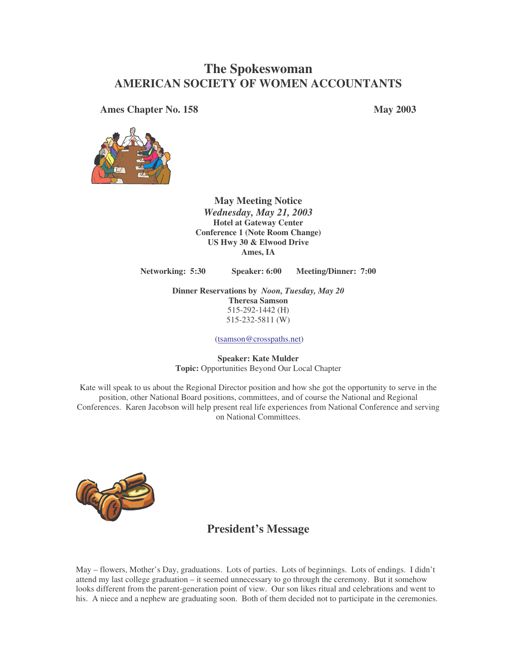# **The Spokeswoman AMERICAN SOCIETY OF WOMEN ACCOUNTANTS**

**Ames Chapter No. 158 May 2003**



**May Meeting Notice** *Wednesday, May 21, 2003* **Hotel at Gateway Center Conference 1 (Note Room Change) US Hwy 30 & Elwood Drive Ames, IA**

**Networking: 5:30 Speaker: 6:00 Meeting/Dinner: 7:00**

**Dinner Reservations by** *Noon, Tuesday, May 20* **Theresa Samson** 515-292-1442 (H) 515-232-5811 (W)

(tsamson@crosspaths.net)

**Speaker: Kate Mulder Topic:** Opportunities Beyond Our Local Chapter

Kate will speak to us about the Regional Director position and how she got the opportunity to serve in the position, other National Board positions, committees, and of course the National and Regional Conferences. Karen Jacobson will help present real life experiences from National Conference and serving on National Committees.



## **President's Message**

May – flowers, Mother's Day, graduations. Lots of parties. Lots of beginnings. Lots of endings. I didn't attend my last college graduation – it seemed unnecessary to go through the ceremony. But it somehow looks different from the parent-generation point of view. Our son likes ritual and celebrations and went to his. A niece and a nephew are graduating soon. Both of them decided not to participate in the ceremonies.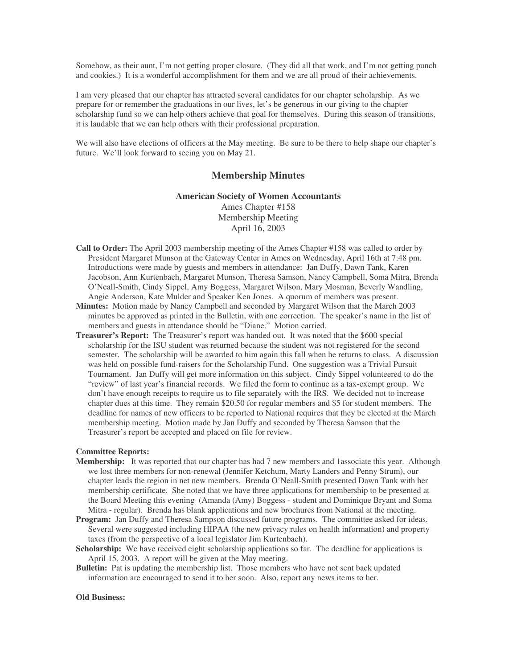Somehow, as their aunt, I'm not getting proper closure. (They did all that work, and I'm not getting punch and cookies.) It is a wonderful accomplishment for them and we are all proud of their achievements.

I am very pleased that our chapter has attracted several candidates for our chapter scholarship. As we prepare for or remember the graduations in our lives, let's be generous in our giving to the chapter scholarship fund so we can help others achieve that goal for themselves. During this season of transitions, it is laudable that we can help others with their professional preparation.

We will also have elections of officers at the May meeting. Be sure to be there to help shape our chapter's future. We'll look forward to seeing you on May 21.

### **Membership Minutes**

#### **American Society of Women Accountants**

Ames Chapter #158 Membership Meeting April 16, 2003

- **Call to Order:** The April 2003 membership meeting of the Ames Chapter #158 was called to order by President Margaret Munson at the Gateway Center in Ames on Wednesday, April 16th at 7:48 pm. Introductions were made by guests and members in attendance: Jan Duffy, Dawn Tank, Karen Jacobson, Ann Kurtenbach, Margaret Munson, Theresa Samson, Nancy Campbell, Soma Mitra, Brenda O'Neall-Smith, Cindy Sippel, Amy Boggess, Margaret Wilson, Mary Mosman, Beverly Wandling, Angie Anderson, Kate Mulder and Speaker Ken Jones. A quorum of members was present.
- **Minutes:** Motion made by Nancy Campbell and seconded by Margaret Wilson that the March 2003 minutes be approved as printed in the Bulletin, with one correction. The speaker's name in the list of members and guests in attendance should be "Diane." Motion carried.
- **Treasurer's Report:** The Treasurer's report was handed out. It was noted that the \$600 special scholarship for the ISU student was returned because the student was not registered for the second semester. The scholarship will be awarded to him again this fall when he returns to class. A discussion was held on possible fund-raisers for the Scholarship Fund. One suggestion was a Trivial Pursuit Tournament. Jan Duffy will get more information on this subject. Cindy Sippel volunteered to do the "review" of last year's financial records. We filed the form to continue as a tax-exempt group. We don't have enough receipts to require us to file separately with the IRS. We decided not to increase chapter dues at this time. They remain \$20.50 for regular members and \$5 for student members. The deadline for names of new officers to be reported to National requires that they be elected at the March membership meeting. Motion made by Jan Duffy and seconded by Theresa Samson that the Treasurer's report be accepted and placed on file for review.

#### **Committee Reports:**

- **Membership:** It was reported that our chapter has had 7 new members and 1 associate this year. Although we lost three members for non-renewal (Jennifer Ketchum, Marty Landers and Penny Strum), our chapter leads the region in net new members. Brenda O'Neall-Smith presented Dawn Tank with her membership certificate. She noted that we have three applications for membership to be presented at the Board Meeting this evening (Amanda (Amy) Boggess - student and Dominique Bryant and Soma Mitra - regular). Brenda has blank applications and new brochures from National at the meeting.
- **Program:** Jan Duffy and Theresa Sampson discussed future programs. The committee asked for ideas. Several were suggested including HIPAA (the new privacy rules on health information) and property taxes (from the perspective of a local legislator Jim Kurtenbach).
- **Scholarship:** We have received eight scholarship applications so far. The deadline for applications is April 15, 2003. A report will be given at the May meeting.
- **Bulletin:** Pat is updating the membership list. Those members who have not sent back updated information are encouraged to send it to her soon. Also, report any news items to her.

#### **Old Business:**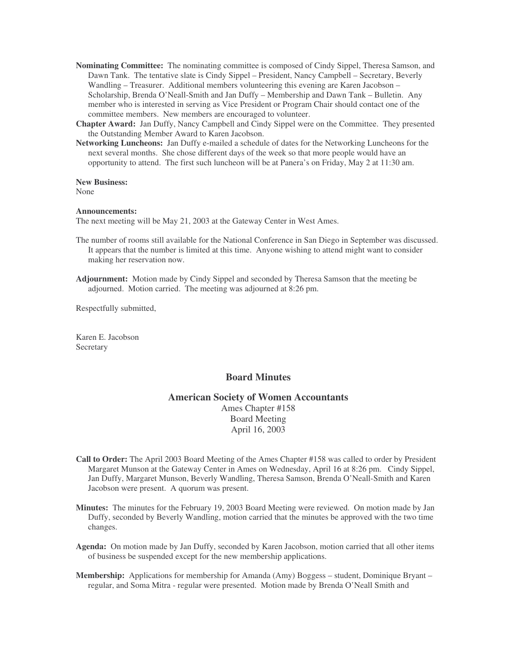- **Nominating Committee:** The nominating committee is composed of Cindy Sippel, Theresa Samson, and Dawn Tank. The tentative slate is Cindy Sippel – President, Nancy Campbell – Secretary, Beverly Wandling – Treasurer. Additional members volunteering this evening are Karen Jacobson – Scholarship, Brenda O'Neall-Smith and Jan Duffy – Membership and Dawn Tank – Bulletin. Any member who is interested in serving as Vice President or Program Chair should contact one of the committee members. New members are encouraged to volunteer.
- **Chapter Award:** Jan Duffy, Nancy Campbell and Cindy Sippel were on the Committee. They presented the Outstanding Member Award to Karen Jacobson.
- **Networking Luncheons:** Jan Duffy e-mailed a schedule of dates for the Networking Luncheons for the next several months. She chose different days of the week so that more people would have an opportunity to attend. The first such luncheon will be at Panera's on Friday, May 2 at 11:30 am.

**New Business:**

None

**Announcements:**

The next meeting will be May 21, 2003 at the Gateway Center in West Ames.

- The number of rooms still available for the National Conference in San Diego in September was discussed. It appears that the number is limited at this time. Anyone wishing to attend might want to consider making her reservation now.
- **Adjournment:** Motion made by Cindy Sippel and seconded by Theresa Samson that the meeting be adjourned. Motion carried. The meeting was adjourned at 8:26 pm.

Respectfully submitted,

Karen E. Jacobson **Secretary** 

#### **Board Minutes**

#### **American Society of Women Accountants**

Ames Chapter #158 Board Meeting April 16, 2003

- **Call to Order:** The April 2003 Board Meeting of the Ames Chapter #158 was called to order by President Margaret Munson at the Gateway Center in Ames on Wednesday, April 16 at 8:26 pm. Cindy Sippel, Jan Duffy, Margaret Munson, Beverly Wandling, Theresa Samson, Brenda O'Neall-Smith and Karen Jacobson were present. A quorum was present.
- **Minutes:** The minutes for the February 19, 2003 Board Meeting were reviewed. On motion made by Jan Duffy, seconded by Beverly Wandling, motion carried that the minutes be approved with the two time changes.
- **Agenda:** On motion made by Jan Duffy, seconded by Karen Jacobson, motion carried that all other items of business be suspended except for the new membership applications.
- **Membership:** Applications for membership for Amanda (Amy) Boggess student, Dominique Bryant regular, and Soma Mitra - regular were presented. Motion made by Brenda O'Neall Smith and